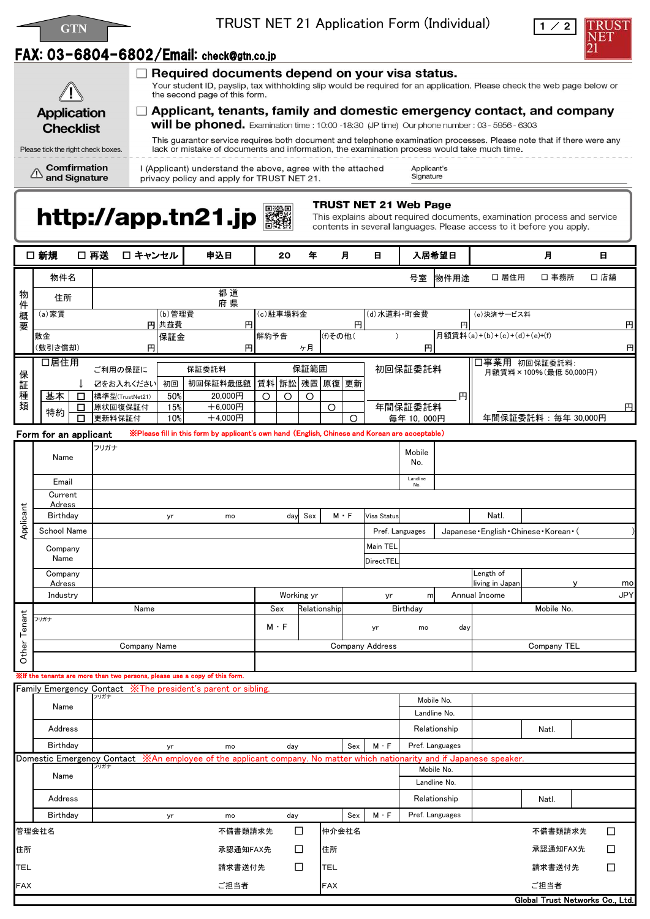



### FAX: 03-6804-6802/Email: check@gtn.co.jp



Please tick the right check boxes.

 $\mathcal{L}$ 

**Comfirmation** 

and Signature

 $\Box$  Required documents depend on your visa status.

Your student ID, payslip, tax withholding slip would be required for an application. Please check the web page below or the second page of this form.

 $\Box$  Applicant, tenants, family and domestic emergency contact, and company will be phoned. Examination time : 10:00 -18:30 (JP time) Our phone number : 03 - 5956 - 6303

This guarantor service requires both document and telephone examination processes. Please note that if there were any lack or mistake of documents and information, the examination process would take much time.

I (Applicant) understand the above, agree with the attached privacy policy and apply for TRUST NET 21.

Applicant's Signature

# http://app.tn21.jp

**TRUST NET 21 Web Page** 

This explains about required documents, examination process and service contents in several languages. Please access to it before you apply.

|            | □ 新規                      |             | □ 再送<br>□ キャンセル                                                            |                                 | 申込日                                                                                                                          |                     | 20             | 年               |                 | 月               | 日                               |                              | 入居希望日           |                                           | 月                               |  | 日                |
|------------|---------------------------|-------------|----------------------------------------------------------------------------|---------------------------------|------------------------------------------------------------------------------------------------------------------------------|---------------------|----------------|-----------------|-----------------|-----------------|---------------------------------|------------------------------|-----------------|-------------------------------------------|---------------------------------|--|------------------|
|            | 物件名                       |             |                                                                            |                                 |                                                                                                                              |                     |                |                 |                 |                 |                                 | 号室                           | 物件用途            | □ 居住用                                     | □ 事務所                           |  | □ 店舗             |
|            | 住所                        |             |                                                                            |                                 |                                                                                                                              |                     |                |                 |                 |                 |                                 |                              |                 |                                           |                                 |  |                  |
| 物件概要       | (a) 家賃                    |             |                                                                            | 府県<br>$\overline{(b)}$ 管理費<br>円 |                                                                                                                              |                     | (c)駐車場料金<br>円  |                 |                 | (d)水道料·町会費<br>円 |                                 |                              | (e)決済サービス料      |                                           |                                 |  |                  |
|            | 敷金                        |             |                                                                            | 円共益費<br>保証金                     |                                                                                                                              | (f)その他(<br>解約予告     |                |                 |                 |                 |                                 | 月額賃料(a)+(b)+(c)+(d)+(e)+(f)  |                 |                                           | 円                               |  |                  |
|            | (敷引き償却)                   |             | 円                                                                          | 円                               | ヶ月                                                                                                                           |                     |                |                 |                 | 円               |                                 |                              |                 |                                           | 円                               |  |                  |
|            | 口居住用                      |             | ご利用の保証に                                                                    |                                 | 保証委託料                                                                                                                        |                     |                | 保証範囲            |                 |                 |                                 | 初回保証委託料                      |                 | 口事業用 初回保証委託料:<br>月額賃料×100%(最低 50,000円)    |                                 |  |                  |
| 保証種類       | 基本                        |             | ☑をお入れください                                                                  | 初回<br>50%                       | 初回保証料 <u>最低額</u><br>20,000円                                                                                                  |                     | 賃料 訴訟 残置 原復 更新 |                 |                 |                 |                                 |                              | 円               |                                           |                                 |  |                  |
|            | 特約                        | $\Box$<br>□ | 標準型(TrustNet21)<br>原状回復保証付                                                 | 15%                             | $+6,000$ 円                                                                                                                   | $\circ$             | $\circ$        | $\circ$         | $\circ$         |                 |                                 | 年間保証委託料                      |                 |                                           |                                 |  | 円                |
|            |                           | $\Box$      | 更新料保証付                                                                     | 10%                             | $+4,000$ 円                                                                                                                   |                     |                |                 |                 | $\circ$         |                                 | 毎年 10,000円                   |                 |                                           | 年間保証委託料: 毎年 30,000円             |  |                  |
|            | Form for an applicant     |             |                                                                            |                                 | ※Please fill in this form by applicant's own hand (English, Chinese and Korean are acceptable)                               |                     |                |                 |                 |                 |                                 |                              |                 |                                           |                                 |  |                  |
|            | Name                      |             | フリガナ                                                                       |                                 |                                                                                                                              |                     |                |                 |                 |                 |                                 | Mobile<br>No.                |                 |                                           |                                 |  |                  |
| Applicant  | Email                     |             |                                                                            |                                 |                                                                                                                              |                     |                | Landline<br>No. |                 |                 |                                 |                              |                 |                                           |                                 |  |                  |
|            | Current                   |             |                                                                            |                                 |                                                                                                                              |                     |                |                 |                 |                 |                                 |                              |                 |                                           |                                 |  |                  |
|            | <b>Adress</b><br>Birthday |             |                                                                            | yr                              | mo                                                                                                                           |                     | day            | Sex             |                 | $M \cdot F$     | Visa Status                     |                              |                 | Natl.                                     |                                 |  |                  |
|            | School Name               |             |                                                                            |                                 |                                                                                                                              |                     |                |                 |                 |                 |                                 | Pref. Languages              |                 | Japanese · English · Chinese · Korean · ( |                                 |  |                  |
|            | Company                   |             |                                                                            |                                 |                                                                                                                              |                     |                |                 |                 |                 | Main TEL                        |                              |                 |                                           |                                 |  |                  |
|            | Name                      |             |                                                                            |                                 |                                                                                                                              |                     |                |                 |                 |                 | DirectTEL                       |                              |                 |                                           |                                 |  |                  |
|            | Company<br>Adress         |             |                                                                            |                                 |                                                                                                                              |                     |                |                 |                 |                 |                                 |                              |                 | Length of<br>living in Japan              |                                 |  | mo               |
|            | Industry                  |             |                                                                            |                                 | Working yr                                                                                                                   |                     |                |                 | yr              | m               |                                 | Annual Income                |                 |                                           | <b>JPY</b>                      |  |                  |
| enant      | Name<br>フリガナ              |             |                                                                            |                                 |                                                                                                                              | Sex<br>Relationship |                |                 | <b>Birthday</b> |                 |                                 | Mobile No.                   |                 |                                           |                                 |  |                  |
| Γ          |                           |             |                                                                            |                                 | $M \cdot F$<br>yr                                                                                                            |                     |                |                 |                 |                 | mo                              | day                          |                 |                                           |                                 |  |                  |
| Other      |                           |             | Company Name                                                               |                                 |                                                                                                                              |                     |                |                 |                 |                 | <b>Company Address</b>          |                              |                 |                                           | Company TEL                     |  |                  |
|            |                           |             | Xif the tenants are more than two persons, please use a copy of this form. |                                 |                                                                                                                              |                     |                |                 |                 |                 |                                 |                              |                 |                                           |                                 |  |                  |
|            |                           |             |                                                                            |                                 | Family Emergency Contact XThe president's parent or sibling.                                                                 |                     |                |                 |                 |                 |                                 |                              |                 |                                           |                                 |  |                  |
|            | Name                      |             | フリガナ                                                                       |                                 |                                                                                                                              |                     |                |                 |                 |                 |                                 |                              | Mobile No.      |                                           |                                 |  |                  |
|            |                           |             |                                                                            |                                 |                                                                                                                              |                     |                |                 |                 |                 |                                 | Landline No.                 |                 |                                           |                                 |  |                  |
|            | Address<br>Birthday       |             |                                                                            |                                 |                                                                                                                              |                     | Sex            |                 |                 | $M \cdot F$     | Relationship<br>Pref. Languages |                              |                 | Natl.                                     |                                 |  |                  |
|            |                           |             |                                                                            | yr                              | mo<br>Domestic Emergency Contact XAn employee of the applicant company. No matter which nationarity and if Japanese speaker. |                     | day            |                 |                 |                 |                                 |                              |                 |                                           |                                 |  |                  |
|            | Name                      |             | フリガナ                                                                       |                                 |                                                                                                                              |                     |                |                 |                 |                 | Mobile No.                      |                              |                 |                                           |                                 |  |                  |
|            |                           |             |                                                                            |                                 |                                                                                                                              |                     |                |                 |                 |                 |                                 | Landline No.<br>Relationship |                 |                                           |                                 |  |                  |
|            | Address                   |             |                                                                            |                                 |                                                                                                                              |                     |                |                 |                 |                 |                                 |                              |                 |                                           | Natl.                           |  |                  |
|            | Birthday<br>管理会社名         |             |                                                                            | yr                              | mo<br>不備書類請求先                                                                                                                |                     | day            |                 | 仲介会社名           | Sex             | $M \cdot F$                     |                              | Pref. Languages |                                           | 不備書類請求先                         |  |                  |
| 住所         |                           |             |                                                                            |                                 | 承認通知FAX先                                                                                                                     |                     | □<br>$\Box$    |                 | 住所              |                 |                                 |                              |                 |                                           | 承認通知FAX先                        |  | $\Box$<br>$\Box$ |
| TEL        |                           |             |                                                                            |                                 | 請求書送付先                                                                                                                       |                     | $\Box$         |                 | <b>TEL</b>      |                 |                                 |                              |                 |                                           | 請求書送付先                          |  | $\Box$           |
| <b>FAX</b> |                           |             |                                                                            |                                 | ご担当者                                                                                                                         |                     |                |                 | <b>FAX</b>      |                 |                                 |                              |                 |                                           | ご担当者                            |  |                  |
|            |                           |             |                                                                            |                                 |                                                                                                                              |                     |                |                 |                 |                 |                                 |                              |                 |                                           | Global Trust Networks Co., Ltd. |  |                  |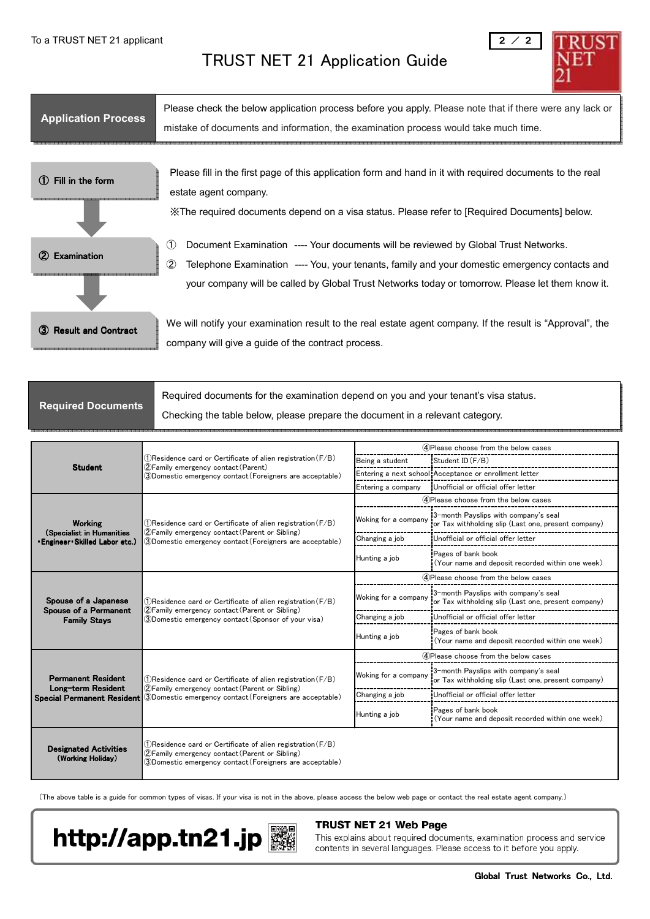#### TRUST NET 21 Application Guide



| <b>Application Process</b>        | Please check the below application process before you apply. Please note that if there were any lack or<br>mistake of documents and information, the examination process would take much time.                                                                                                                    |
|-----------------------------------|-------------------------------------------------------------------------------------------------------------------------------------------------------------------------------------------------------------------------------------------------------------------------------------------------------------------|
| Fill in the form<br>(1)           | Please fill in the first page of this application form and hand in it with required documents to the real<br>estate agent company.<br>X The required documents depend on a visa status. Please refer to [Required Documents] below.                                                                               |
| <b>Examination</b>                | Document Examination ---- Your documents will be reviewed by Global Trust Networks.<br>(1)<br>$^{\circledR}$<br>Telephone Examination ---- You, your tenants, family and your domestic emergency contacts and<br>your company will be called by Global Trust Networks today or tomorrow. Please let them know it. |
| <b>Result and Contract</b><br>(3) | We will notify your examination result to the real estate agent company. If the result is "Approval", the<br>company will give a guide of the contract process.                                                                                                                                                   |

|                           | Required documents for the examination depend on you and your tenant's visa status. |
|---------------------------|-------------------------------------------------------------------------------------|
| <b>Required Documents</b> | Checking the table below, please prepare the document in a relevant category.       |

|                                                   |                                                                                                                                                                                                  | 4) Please choose from the below cases |                                                                                              |  |  |  |  |
|---------------------------------------------------|--------------------------------------------------------------------------------------------------------------------------------------------------------------------------------------------------|---------------------------------------|----------------------------------------------------------------------------------------------|--|--|--|--|
| <b>Student</b>                                    | $\left( \mathrm{1}\right)$ Residence card or Certificate of alien registration $\left( \mathrm{F/B}\right)$                                                                                      | Being a student                       | Student ID (F/B)                                                                             |  |  |  |  |
|                                                   | 2) Family emergency contact (Parent)<br>3)Domestic emergency contact(Foreigners are acceptable)                                                                                                  |                                       | Entering a next school Acceptance or enrollment letter                                       |  |  |  |  |
|                                                   |                                                                                                                                                                                                  | Entering a company                    | Unofficial or official offer letter                                                          |  |  |  |  |
|                                                   |                                                                                                                                                                                                  |                                       | 4) Please choose from the below cases                                                        |  |  |  |  |
| <b>Working</b>                                    | $(1)$ Residence card or Certificate of alien registration (F/B)                                                                                                                                  | Woking for a company                  | 3-month Payslips with company's seal<br>or Tax withholding slip (Last one, present company)  |  |  |  |  |
| <b>Engineer Skilled Labor etc.)</b>               | 2 Family emergency contact (Parent or Sibling)<br>(Specialist in Humanities<br>Changing a job<br>3)Domestic emergency contact (Foreigners are acceptable)<br>Pages of bank book<br>Hunting a job |                                       | Unofficial or official offer letter                                                          |  |  |  |  |
|                                                   |                                                                                                                                                                                                  |                                       | (Your name and deposit recorded within one week)                                             |  |  |  |  |
|                                                   |                                                                                                                                                                                                  |                                       | (4) Please choose from the below cases                                                       |  |  |  |  |
| Spouse of a Japanese                              | $(1)$ Residence card or Certificate of alien registration (F/B)                                                                                                                                  | Woking for a company                  | 3-month Payslips with company's seal<br>or Tax withholding slip (Last one, present company)  |  |  |  |  |
| Spouse of a Permanent<br><b>Family Stays</b>      | (2) Family emergency contact (Parent or Sibling)<br>$\textcircled{3}$ Domestic emergency contact(Sponsor of your visa)                                                                           | Changing a job                        | Unofficial or official offer letter                                                          |  |  |  |  |
|                                                   |                                                                                                                                                                                                  | Hunting a job                         | Pages of bank book<br>(Your name and deposit recorded within one week)                       |  |  |  |  |
|                                                   |                                                                                                                                                                                                  | 4) Please choose from the below cases |                                                                                              |  |  |  |  |
| <b>Permanent Resident</b>                         | Woking for a company<br>$(1)$ Residence card or Certificate of alien registration (F/B)                                                                                                          |                                       | 3-month Payslips with company's seal<br>for Tax withholding slip (Last one, present company) |  |  |  |  |
| Long-term Resident<br>Special Permanent Resident  | (2) Family emergency contact (Parent or Sibling)<br>(3) Domestic emergency contact (Foreigners are acceptable)                                                                                   | Changing a job                        | Unofficial or official offer letter                                                          |  |  |  |  |
|                                                   |                                                                                                                                                                                                  | Hunting a job                         | Pages of bank book<br>(Your name and deposit recorded within one week)                       |  |  |  |  |
| <b>Designated Activities</b><br>(Working Holiday) | $(1)$ Residence card or Certificate of alien registration (F/B)<br>(2) Family emergency contact (Parent or Sibling)<br>③Domestic emergency contact(Foreigners are acceptable)                    |                                       |                                                                                              |  |  |  |  |

(The above table is a guide for common types of visas. If your visa is not in the above, please access the below web page or contact the real estate agent company.)



#### TRUST NET 21 Web Page

This explains about required documents, examination process and service contents in several languages. Please access to it before you apply.